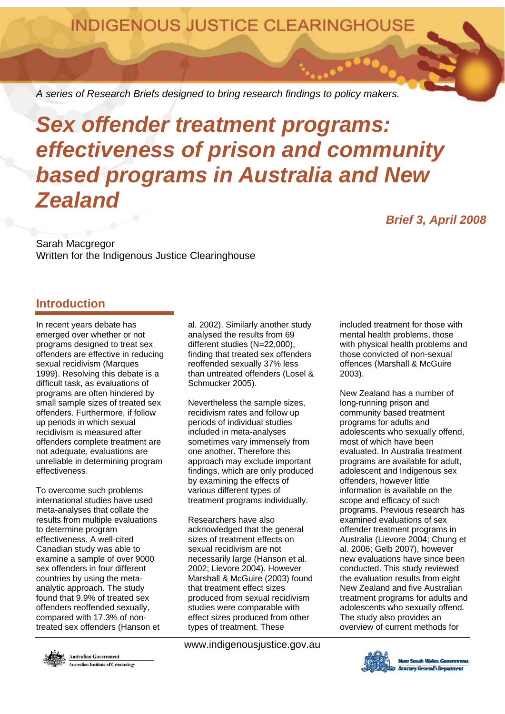**INDIGENOUS JUSTICE CLEARINGHOUSE** 

*A series of Research Briefs designed to bring research findings to policy makers.* 

# *Sex offender treatment programs: effectiveness of prison and community based programs in Australia and New Zealand Brief 3, April 2008*

Sarah Macgregor Written for the Indigenous Justice Clearinghouse

## **Introduction**

In recent years debate has emerged over whether or not programs designed to treat sex offenders are effective in reducing sexual recidivism (Marques 1999). Resolving this debate is a difficult task, as evaluations of programs are often hindered by small sample sizes of treated sex offenders. Furthermore, if follow up periods in which sexual recidivism is measured after offenders complete treatment are not adequate, evaluations are unreliable in determining program effectiveness.

To overcome such problems international studies have used meta-analyses that collate the results from multiple evaluations to determine program effectiveness. A well-cited Canadian study was able to examine a sample of over 9000 sex offenders in four different countries by using the metaanalytic approach. The study found that 9.9% of treated sex offenders reoffended sexually, compared with 17.3% of nontreated sex offenders (Hanson et

al. 2002). Similarly another study analysed the results from 69 different studies (N=22,000), finding that treated sex offenders reoffended sexually 37% less than untreated offenders (Losel & Schmucker 2005).

Nevertheless the sample sizes, recidivism rates and follow up periods of individual studies included in meta-analyses sometimes vary immensely from one another. Therefore this approach may exclude important findings, which are only produced by examining the effects of various different types of treatment programs individually.

Researchers have also acknowledged that the general sizes of treatment effects on sexual recidivism are not necessarily large (Hanson et al. 2002; Lievore 2004). However Marshall & McGuire (2003) found that treatment effect sizes produced from sexual recidivism studies were comparable with effect sizes produced from other types of treatment. These

www.indigenousjustice.gov.au

included treatment for those with mental health problems, those with physical health problems and those convicted of non-sexual offences (Marshall & McGuire 2003).

New Zealand has a number of long-running prison and community based treatment programs for adults and adolescents who sexually offend, most of which have been evaluated. In Australia treatment programs are available for adult, adolescent and Indigenous sex offenders, however little information is available on the scope and efficacy of such programs. Previous research has examined evaluations of sex offender treatment programs in Australia (Lievore 2004; Chung et al. 2006; Gelb 2007), however new evaluations have since been conducted. This study reviewed the evaluation results from eight New Zealand and five Australian treatment programs for adults and adolescents who sexually offend. The study also provides an overview of current methods for



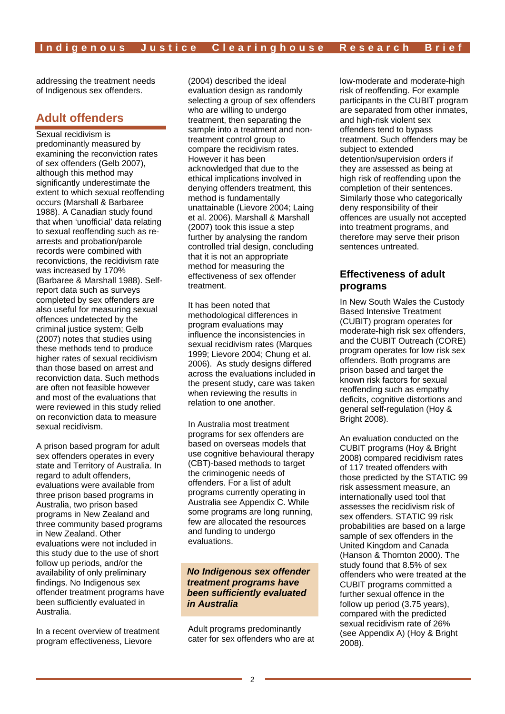addressing the treatment needs of Indigenous sex offenders.

## **Adult offenders**

Sexual recidivism is predominantly measured by examining the reconviction rates of sex offenders (Gelb 2007), although this method may significantly underestimate the extent to which sexual reoffending occurs (Marshall & Barbaree 1988). A Canadian study found that when 'unofficial' data relating to sexual reoffending such as rearrests and probation/parole records were combined with reconvictions, the recidivism rate was increased by 170% (Barbaree & Marshall 1988). Selfreport data such as surveys completed by sex offenders are also useful for measuring sexual offences undetected by the criminal justice system; Gelb (2007) notes that studies using these methods tend to produce higher rates of sexual recidivism than those based on arrest and reconviction data. Such methods are often not feasible however and most of the evaluations that were reviewed in this study relied on reconviction data to measure sexual recidivism.

A prison based program for adult sex offenders operates in every state and Territory of Australia. In regard to adult offenders, evaluations were available from three prison based programs in Australia, two prison based programs in New Zealand and three community based programs in New Zealand. Other evaluations were not included in this study due to the use of short follow up periods, and/or the availability of only preliminary findings. No Indigenous sex offender treatment programs have been sufficiently evaluated in Australia.

In a recent overview of treatment program effectiveness, Lievore

(2004) described the ideal evaluation design as randomly selecting a group of sex offenders who are willing to undergo treatment, then separating the sample into a treatment and nontreatment control group to compare the recidivism rates. However it has been acknowledged that due to the ethical implications involved in denying offenders treatment, this method is fundamentally unattainable (Lievore 2004; Laing et al. 2006). Marshall & Marshall (2007) took this issue a step further by analysing the random controlled trial design, concluding that it is not an appropriate method for measuring the effectiveness of sex offender treatment.

It has been noted that methodological differences in program evaluations may influence the inconsistencies in sexual recidivism rates (Marques 1999; Lievore 2004; Chung et al. 2006). As study designs differed across the evaluations included in the present study, care was taken when reviewing the results in relation to one another.

In Australia most treatment programs for sex offenders are based on overseas models that use cognitive behavioural therapy (CBT)-based methods to target the criminogenic needs of offenders. For a list of adult programs currently operating in Australia see Appendix C. While some programs are long running, few are allocated the resources and funding to undergo evaluations.

#### *No Indigenous sex offender treatment programs have been sufficiently evaluated in Australia*

Adult programs predominantly cater for sex offenders who are at low-moderate and moderate-high risk of reoffending. For example participants in the CUBIT program are separated from other inmates, and high-risk violent sex offenders tend to bypass treatment. Such offenders may be subject to extended detention/supervision orders if they are assessed as being at high risk of reoffending upon the completion of their sentences. Similarly those who categorically deny responsibility of their offences are usually not accepted into treatment programs, and therefore may serve their prison sentences untreated.

#### **Effectiveness of adult programs**

In New South Wales the Custody Based Intensive Treatment (CUBIT) program operates for moderate-high risk sex offenders, and the CUBIT Outreach (CORE) program operates for low risk sex offenders. Both programs are prison based and target the known risk factors for sexual reoffending such as empathy deficits, cognitive distortions and general self-regulation (Hoy & Bright 2008).

An evaluation conducted on the CUBIT programs (Hoy & Bright 2008) compared recidivism rates of 117 treated offenders with those predicted by the STATIC 99 risk assessment measure, an internationally used tool that assesses the recidivism risk of sex offenders. STATIC 99 risk probabilities are based on a large sample of sex offenders in the United Kingdom and Canada (Hanson & Thornton 2000). The study found that 8.5% of sex offenders who were treated at the CUBIT programs committed a further sexual offence in the follow up period (3.75 years), compared with the predicted sexual recidivism rate of 26% (see Appendix A) (Hoy & Bright 2008).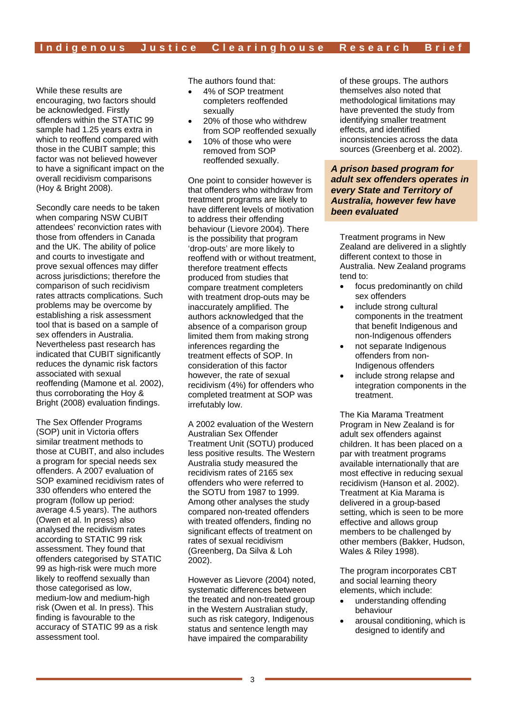While these results are encouraging, two factors should be acknowledged. Firstly offenders within the STATIC 99 sample had 1.25 years extra in which to reoffend compared with those in the CUBIT sample; this factor was not believed however to have a significant impact on the overall recidivism comparisons (Hoy & Bright 2008).

Secondly care needs to be taken when comparing NSW CUBIT attendees' reconviction rates with those from offenders in Canada and the UK. The ability of police and courts to investigate and prove sexual offences may differ across jurisdictions; therefore the comparison of such recidivism rates attracts complications. Such problems may be overcome by establishing a risk assessment tool that is based on a sample of sex offenders in Australia. Nevertheless past research has indicated that CUBIT significantly reduces the dynamic risk factors associated with sexual reoffending (Mamone et al. 2002), thus corroborating the Hoy & Bright (2008) evaluation findings.

The Sex Offender Programs (SOP) unit in Victoria offers similar treatment methods to those at CUBIT, and also includes a program for special needs sex offenders. A 2007 evaluation of SOP examined recidivism rates of 330 offenders who entered the program (follow up period: average 4.5 years). The authors (Owen et al. In press) also analysed the recidivism rates according to STATIC 99 risk assessment. They found that offenders categorised by STATIC 99 as high-risk were much more likely to reoffend sexually than those categorised as low, medium-low and medium-high risk (Owen et al. In press). This finding is favourable to the accuracy of STATIC 99 as a risk assessment tool.

The authors found that:

- 4% of SOP treatment completers reoffended sexually
- 20% of those who withdrew from SOP reoffended sexually
- 10% of those who were removed from SOP reoffended sexually.

One point to consider however is that offenders who withdraw from treatment programs are likely to have different levels of motivation to address their offending behaviour (Lievore 2004). There is the possibility that program 'drop-outs' are more likely to reoffend with or without treatment, therefore treatment effects produced from studies that compare treatment completers with treatment drop-outs may be inaccurately amplified. The authors acknowledged that the absence of a comparison group limited them from making strong inferences regarding the treatment effects of SOP. In consideration of this factor however, the rate of sexual recidivism (4%) for offenders who completed treatment at SOP was irrefutably low.

A 2002 evaluation of the Western Australian Sex Offender Treatment Unit (SOTU) produced less positive results. The Western Australia study measured the recidivism rates of 2165 sex offenders who were referred to the SOTU from 1987 to 1999. Among other analyses the study compared non-treated offenders with treated offenders, finding no significant effects of treatment on rates of sexual recidivism (Greenberg, Da Silva & Loh 2002).

However as Lievore (2004) noted, systematic differences between the treated and non-treated group in the Western Australian study, such as risk category, Indigenous status and sentence length may have impaired the comparability

of these groups. The authors themselves also noted that methodological limitations may have prevented the study from identifying smaller treatment effects, and identified inconsistencies across the data sources (Greenberg et al. 2002).

#### *A prison based program for adult sex offenders operates in every State and Territory of Australia, however few have been evaluated*

Treatment programs in New Zealand are delivered in a slightly different context to those in Australia. New Zealand programs tend to:

- focus predominantly on child sex offenders
- include strong cultural components in the treatment that benefit Indigenous and non-Indigenous offenders
- not separate Indigenous offenders from non-Indigenous offenders
- include strong relapse and integration components in the treatment.

The Kia Marama Treatment Program in New Zealand is for adult sex offenders against children. It has been placed on a par with treatment programs available internationally that are most effective in reducing sexual recidivism (Hanson et al. 2002). Treatment at Kia Marama is delivered in a group-based setting, which is seen to be more effective and allows group members to be challenged by other members (Bakker, Hudson, Wales & Riley 1998).

The program incorporates CBT and social learning theory elements, which include:

- understanding offending behaviour
- arousal conditioning, which is designed to identify and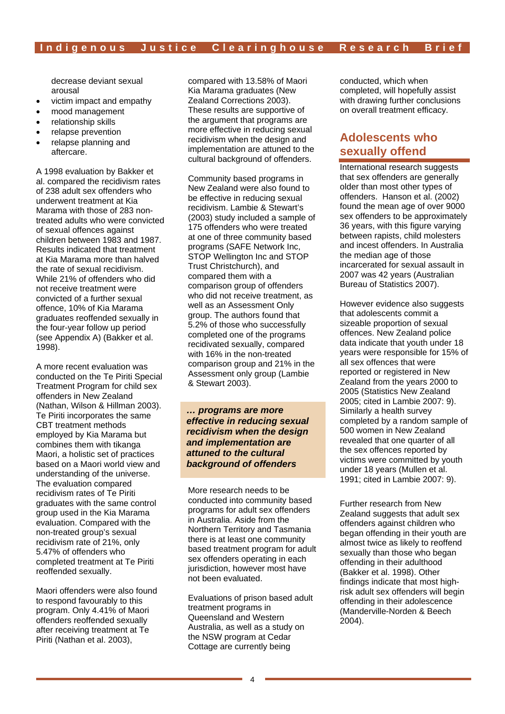decrease deviant sexual arousal

- victim impact and empathy
- mood management
- relationship skills
- relapse prevention
- relapse planning and aftercare.

A 1998 evaluation by Bakker et al. compared the recidivism rates of 238 adult sex offenders who underwent treatment at Kia Marama with those of 283 nontreated adults who were convicted of sexual offences against children between 1983 and 1987. Results indicated that treatment at Kia Marama more than halved the rate of sexual recidivism. While 21% of offenders who did not receive treatment were convicted of a further sexual offence, 10% of Kia Marama graduates reoffended sexually in the four-year follow up period (see Appendix A) (Bakker et al. 1998).

A more recent evaluation was conducted on the Te Piriti Special Treatment Program for child sex offenders in New Zealand (Nathan, Wilson & Hillman 2003). Te Piriti incorporates the same CBT treatment methods employed by Kia Marama but combines them with tikanga Maori, a holistic set of practices based on a Maori world view and understanding of the universe. The evaluation compared recidivism rates of Te Piriti graduates with the same control group used in the Kia Marama evaluation. Compared with the non-treated group's sexual recidivism rate of 21%, only 5.47% of offenders who completed treatment at Te Piriti reoffended sexually.

Maori offenders were also found to respond favourably to this program. Only 4.41% of Maori offenders reoffended sexually after receiving treatment at Te Piriti (Nathan et al. 2003),

compared with 13.58% of Maori Kia Marama graduates (New Zealand Corrections 2003). These results are supportive of the argument that programs are more effective in reducing sexual recidivism when the design and implementation are attuned to the cultural background of offenders.

Community based programs in New Zealand were also found to be effective in reducing sexual recidivism. Lambie & Stewart's (2003) study included a sample of 175 offenders who were treated at one of three community based programs (SAFE Network Inc. STOP Wellington Inc and STOP Trust Christchurch), and compared them with a comparison group of offenders who did not receive treatment, as well as an Assessment Only group. The authors found that 5.2% of those who successfully completed one of the programs recidivated sexually, compared with 16% in the non-treated comparison group and 21% in the Assessment only group (Lambie & Stewart 2003).

*… programs are more effective in reducing sexual recidivism when the design and implementation are attuned to the cultural background of offenders* 

More research needs to be conducted into community based programs for adult sex offenders in Australia. Aside from the Northern Territory and Tasmania there is at least one community based treatment program for adult sex offenders operating in each jurisdiction, however most have not been evaluated.

Evaluations of prison based adult treatment programs in Queensland and Western Australia, as well as a study on the NSW program at Cedar Cottage are currently being

conducted, which when completed, will hopefully assist with drawing further conclusions on overall treatment efficacy.

## **Adolescents who sexually offend**

International research suggests that sex offenders are generally older than most other types of offenders. Hanson et al. (2002) found the mean age of over 9000 sex offenders to be approximately 36 years, with this figure varying between rapists, child molesters and incest offenders. In Australia the median age of those incarcerated for sexual assault in 2007 was 42 years (Australian Bureau of Statistics 2007).

However evidence also suggests that adolescents commit a sizeable proportion of sexual offences. New Zealand police data indicate that youth under 18 years were responsible for 15% of all sex offences that were reported or registered in New Zealand from the years 2000 to 2005 (Statistics New Zealand 2005; cited in Lambie 2007: 9). Similarly a health survey completed by a random sample of 500 women in New Zealand revealed that one quarter of all the sex offences reported by victims were committed by youth under 18 years (Mullen et al. 1991; cited in Lambie 2007: 9).

Further research from New Zealand suggests that adult sex offenders against children who began offending in their youth are almost twice as likely to reoffend sexually than those who began offending in their adulthood (Bakker et al. 1998). Other findings indicate that most highrisk adult sex offenders will begin offending in their adolescence (Manderville-Norden & Beech 2004).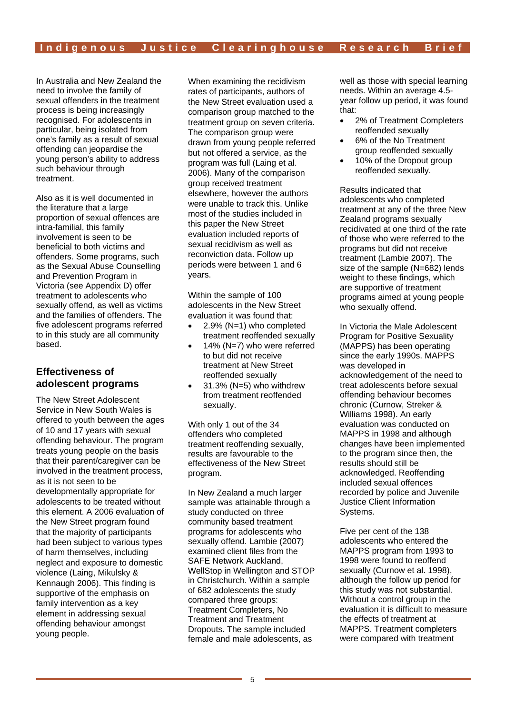In Australia and New Zealand the need to involve the family of sexual offenders in the treatment process is being increasingly recognised. For adolescents in particular, being isolated from one's family as a result of sexual offending can jeopardise the young person's ability to address such behaviour through treatment.

Also as it is well documented in the literature that a large proportion of sexual offences are intra-familial, this family involvement is seen to be beneficial to both victims and offenders. Some programs, such as the Sexual Abuse Counselling and Prevention Program in Victoria (see Appendix D) offer treatment to adolescents who sexually offend, as well as victims and the families of offenders. The five adolescent programs referred to in this study are all community based.

#### **Effectiveness of adolescent programs**

The New Street Adolescent Service in New South Wales is offered to youth between the ages of 10 and 17 years with sexual offending behaviour. The program treats young people on the basis that their parent/caregiver can be involved in the treatment process, as it is not seen to be developmentally appropriate for adolescents to be treated without this element. A 2006 evaluation of the New Street program found that the majority of participants had been subject to various types of harm themselves, including neglect and exposure to domestic violence (Laing, Mikulsky & Kennaugh 2006). This finding is supportive of the emphasis on family intervention as a key element in addressing sexual offending behaviour amongst young people.

When examining the recidivism rates of participants, authors of the New Street evaluation used a comparison group matched to the treatment group on seven criteria. The comparison group were drawn from young people referred but not offered a service, as the program was full (Laing et al. 2006). Many of the comparison group received treatment elsewhere, however the authors were unable to track this. Unlike most of the studies included in this paper the New Street evaluation included reports of sexual recidivism as well as reconviction data. Follow up periods were between 1 and 6 years.

Within the sample of 100 adolescents in the New Street evaluation it was found that:

- 2.9% (N=1) who completed treatment reoffended sexually
- 14% (N=7) who were referred to but did not receive treatment at New Street reoffended sexually
- $31.3\%$  (N=5) who withdrew from treatment reoffended sexually.

With only 1 out of the 34 offenders who completed treatment reoffending sexually, results are favourable to the effectiveness of the New Street program.

In New Zealand a much larger sample was attainable through a study conducted on three community based treatment programs for adolescents who sexually offend. Lambie (2007) examined client files from the SAFE Network Auckland, WellStop in Wellington and STOP in Christchurch. Within a sample of 682 adolescents the study compared three groups: Treatment Completers, No Treatment and Treatment Dropouts. The sample included female and male adolescents, as

well as those with special learning needs. Within an average 4.5 year follow up period, it was found that:

- 2% of Treatment Completers reoffended sexually
- 6% of the No Treatment group reoffended sexually
- 10% of the Dropout group reoffended sexually.

Results indicated that adolescents who completed treatment at any of the three New Zealand programs sexually recidivated at one third of the rate of those who were referred to the programs but did not receive treatment (Lambie 2007). The size of the sample (N=682) lends weight to these findings, which are supportive of treatment programs aimed at young people who sexually offend.

In Victoria the Male Adolescent Program for Positive Sexuality (MAPPS) has been operating since the early 1990s. MAPPS was developed in acknowledgement of the need to treat adolescents before sexual offending behaviour becomes chronic (Curnow, Streker & Williams 1998). An early evaluation was conducted on MAPPS in 1998 and although changes have been implemented to the program since then, the results should still be acknowledged. Reoffending included sexual offences recorded by police and Juvenile Justice Client Information Systems.

Five per cent of the 138 adolescents who entered the MAPPS program from 1993 to 1998 were found to reoffend sexually (Curnow et al. 1998), although the follow up period for this study was not substantial. Without a control group in the evaluation it is difficult to measure the effects of treatment at MAPPS. Treatment completers were compared with treatment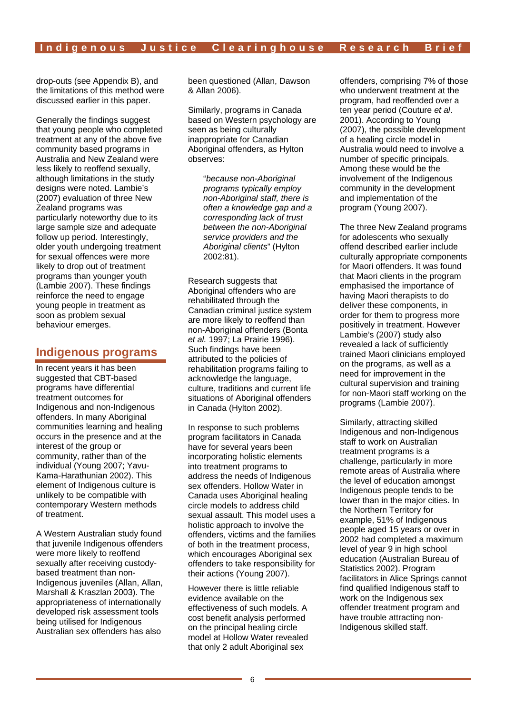drop-outs (see Appendix B), and the limitations of this method were discussed earlier in this paper.

Generally the findings suggest that young people who completed treatment at any of the above five community based programs in Australia and New Zealand were less likely to reoffend sexually, although limitations in the study designs were noted. Lambie's (2007) evaluation of three New Zealand programs was particularly noteworthy due to its large sample size and adequate follow up period. Interestingly, older youth undergoing treatment for sexual offences were more likely to drop out of treatment programs than younger youth (Lambie 2007). These findings reinforce the need to engage young people in treatment as soon as problem sexual behaviour emerges.

## **Indigenous programs**

In recent years it has been suggested that CBT-based programs have differential treatment outcomes for Indigenous and non-Indigenous offenders. In many Aboriginal communities learning and healing occurs in the presence and at the interest of the group or community, rather than of the individual (Young 2007; Yavu-Kama-Harathunian 2002). This element of Indigenous culture is unlikely to be compatible with contemporary Western methods of treatment.

A Western Australian study found that juvenile Indigenous offenders were more likely to reoffend sexually after receiving custodybased treatment than non-Indigenous juveniles (Allan, Allan, Marshall & Kraszlan 2003). The appropriateness of internationally developed risk assessment tools being utilised for Indigenous Australian sex offenders has also

been questioned (Allan, Dawson & Allan 2006).

Similarly, programs in Canada based on Western psychology are seen as being culturally inappropriate for Canadian Aboriginal offenders, as Hylton observes:

> "*because non-Aboriginal programs typically employ non-Aboriginal staff, there is often a knowledge gap and a corresponding lack of trust between the non-Aboriginal service providers and the Aboriginal clients*" (Hylton 2002:81).

Research suggests that Aboriginal offenders who are rehabilitated through the Canadian criminal justice system are more likely to reoffend than non-Aboriginal offenders (Bonta *et al.* 1997; La Prairie 1996). Such findings have been attributed to the policies of rehabilitation programs failing to acknowledge the language, culture, traditions and current life situations of Aboriginal offenders in Canada (Hylton 2002).

In response to such problems program facilitators in Canada have for several years been incorporating holistic elements into treatment programs to address the needs of Indigenous sex offenders. Hollow Water in Canada uses Aboriginal healing circle models to address child sexual assault. This model uses a holistic approach to involve the offenders, victims and the families of both in the treatment process, which encourages Aboriginal sex offenders to take responsibility for their actions (Young 2007).

However there is little reliable evidence available on the effectiveness of such models. A cost benefit analysis performed on the principal healing circle model at Hollow Water revealed that only 2 adult Aboriginal sex

offenders, comprising 7% of those who underwent treatment at the program, had reoffended over a ten year period (Couture *et al*. 2001). According to Young (2007), the possible development of a healing circle model in Australia would need to involve a number of specific principals. Among these would be the involvement of the Indigenous community in the development and implementation of the program (Young 2007).

The three New Zealand programs for adolescents who sexually offend described earlier include culturally appropriate components for Maori offenders. It was found that Maori clients in the program emphasised the importance of having Maori therapists to do deliver these components, in order for them to progress more positively in treatment. However Lambie's (2007) study also revealed a lack of sufficiently trained Maori clinicians employed on the programs, as well as a need for improvement in the cultural supervision and training for non-Maori staff working on the programs (Lambie 2007).

Similarly, attracting skilled Indigenous and non-Indigenous staff to work on Australian treatment programs is a challenge, particularly in more remote areas of Australia where the level of education amongst Indigenous people tends to be lower than in the major cities. In the Northern Territory for example, 51% of Indigenous people aged 15 years or over in 2002 had completed a maximum level of year 9 in high school education (Australian Bureau of Statistics 2002). Program facilitators in Alice Springs cannot find qualified Indigenous staff to work on the Indigenous sex offender treatment program and have trouble attracting non-Indigenous skilled staff.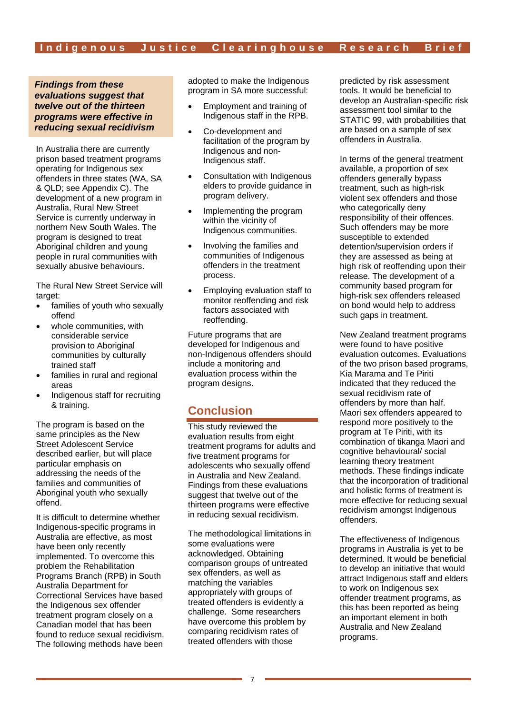*Findings from these evaluations suggest that twelve out of the thirteen programs were effective in reducing sexual recidivism* 

In Australia there are currently prison based treatment programs operating for Indigenous sex offenders in three states (WA, SA & QLD; see Appendix C). The development of a new program in Australia, Rural New Street Service is currently underway in northern New South Wales. The program is designed to treat Aboriginal children and young people in rural communities with sexually abusive behaviours.

The Rural New Street Service will target:

- families of youth who sexually offend
- whole communities, with considerable service provision to Aboriginal communities by culturally trained staff
- families in rural and regional areas
- Indigenous staff for recruiting & training.

The program is based on the same principles as the New Street Adolescent Service described earlier, but will place particular emphasis on addressing the needs of the families and communities of Aboriginal youth who sexually offend.

It is difficult to determine whether Indigenous-specific programs in Australia are effective, as most have been only recently implemented. To overcome this problem the Rehabilitation Programs Branch (RPB) in South Australia Department for Correctional Services have based the Indigenous sex offender treatment program closely on a Canadian model that has been found to reduce sexual recidivism. The following methods have been

adopted to make the Indigenous program in SA more successful:

- Employment and training of Indigenous staff in the RPB.
- Co-development and facilitation of the program by Indigenous and non-Indigenous staff.
- Consultation with Indigenous elders to provide guidance in program delivery.
- Implementing the program within the vicinity of Indigenous communities.
- Involving the families and communities of Indigenous offenders in the treatment process.
- Employing evaluation staff to monitor reoffending and risk factors associated with reoffending.

Future programs that are developed for Indigenous and non-Indigenous offenders should include a monitoring and evaluation process within the program designs.

## **Conclusion**

This study reviewed the evaluation results from eight treatment programs for adults and five treatment programs for adolescents who sexually offend in Australia and New Zealand. Findings from these evaluations suggest that twelve out of the thirteen programs were effective in reducing sexual recidivism.

The methodological limitations in some evaluations were acknowledged. Obtaining comparison groups of untreated sex offenders, as well as matching the variables appropriately with groups of treated offenders is evidently a challenge. Some researchers have overcome this problem by comparing recidivism rates of treated offenders with those

predicted by risk assessment tools. It would be beneficial to develop an Australian-specific risk assessment tool similar to the STATIC 99, with probabilities that are based on a sample of sex offenders in Australia.

In terms of the general treatment available, a proportion of sex offenders generally bypass treatment, such as high-risk violent sex offenders and those who categorically deny responsibility of their offences. Such offenders may be more susceptible to extended detention/supervision orders if they are assessed as being at high risk of reoffending upon their release. The development of a community based program for high-risk sex offenders released on bond would help to address such gaps in treatment.

New Zealand treatment programs were found to have positive evaluation outcomes. Evaluations of the two prison based programs, Kia Marama and Te Piriti indicated that they reduced the sexual recidivism rate of offenders by more than half. Maori sex offenders appeared to respond more positively to the program at Te Piriti, with its combination of tikanga Maori and cognitive behavioural/ social learning theory treatment methods. These findings indicate that the incorporation of traditional and holistic forms of treatment is more effective for reducing sexual recidivism amongst Indigenous offenders.

The effectiveness of Indigenous programs in Australia is yet to be determined. It would be beneficial to develop an initiative that would attract Indigenous staff and elders to work on Indigenous sex offender treatment programs, as this has been reported as being an important element in both Australia and New Zealand programs.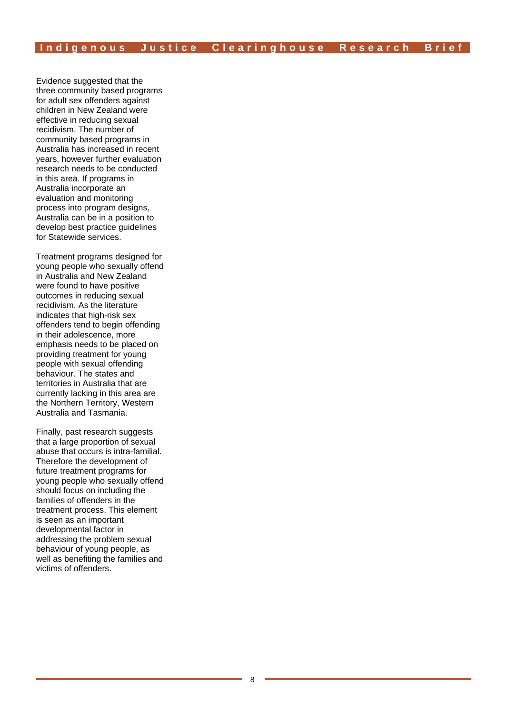Evidence suggested that the three community based programs for adult sex offenders against children in New Zealand were effective in reducing sexual recidivism. The number of community based programs in Australia has increased in recent years, however further evaluation research needs to be conducted in this area. If programs in Australia incorporate an evaluation and monitoring process into program designs, Australia can be in a position to develop best practice guidelines for Statewide services.

Treatment programs designed for young people who sexually offend in Australia and New Zealand were found to have positive outcomes in reducing sexual recidivism. As the literature indicates that high-risk sex offenders tend to begin offending in their adolescence, more emphasis needs to be placed on providing treatment for young people with sexual offending behaviour. The states and territories in Australia that are currently lacking in this area are the Northern Territory, Western Australia and Tasmania.

Finally, past research suggests that a large proportion of sexual abuse that occurs is intra-familial. Therefore the development of future treatment programs for young people who sexually offend should focus on including the families of offenders in the treatment process. This element is seen as an important developmental factor in addressing the problem sexual behaviour of young people, as well as benefiting the families and victims of offenders.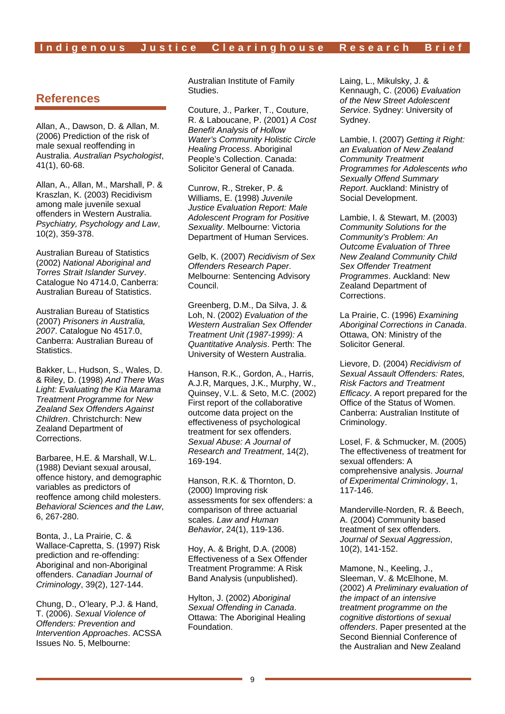## **References**

Allan, A., Dawson, D. & Allan, M. (2006) Prediction of the risk of male sexual reoffending in Australia. *Australian Psychologist*, 41(1), 60-68.

Allan, A., Allan, M., Marshall, P. & Kraszlan, K. (2003) Recidivism among male juvenile sexual offenders in Western Australia. *Psychiatry, Psychology and Law*, 10(2), 359-378.

Australian Bureau of Statistics (2002) *National Aboriginal and Torres Strait Islander Survey*. Catalogue No 4714.0, Canberra: Australian Bureau of Statistics.

Australian Bureau of Statistics (2007) *Prisoners in Australia, 2007*. Catalogue No 4517.0, Canberra: Australian Bureau of Statistics.

Bakker, L., Hudson, S., Wales, D. & Riley, D. (1998) *And There Was Light: Evaluating the Kia Marama Treatment Programme for New Zealand Sex Offenders Against Children*. Christchurch: New Zealand Department of Corrections.

Barbaree, H.E. & Marshall, W.L. (1988) Deviant sexual arousal, offence history, and demographic variables as predictors of reoffence among child molesters. *Behavioral Sciences and the Law*, 6, 267-280.

Bonta, J., La Prairie, C. & Wallace-Capretta, S. (1997) Risk prediction and re-offending: Aboriginal and non-Aboriginal offenders. *Canadian Journal of Criminology*, 39(2), 127-144.

Chung, D., O'leary, P.J. & Hand, T. (2006). *Sexual Violence of Offenders: Prevention and Intervention Approaches*. ACSSA Issues No. 5, Melbourne:

Australian Institute of Family Studies.

Couture, J., Parker, T., Couture, R. & Laboucane, P. (2001) *A Cost Benefit Analysis of Hollow Water's Community Holistic Circle Healing Process*. Aboriginal People's Collection. Canada: Solicitor General of Canada.

Cunrow, R., Streker, P. & Williams, E. (1998) *Juvenile Justice Evaluation Report: Male Adolescent Program for Positive Sexuality*. Melbourne: Victoria Department of Human Services.

Gelb, K. (2007) *Recidivism of Sex Offenders Research Paper*. Melbourne: Sentencing Advisory Council.

Greenberg, D.M., Da Silva, J. & Loh, N. (2002) *Evaluation of the Western Australian Sex Offender Treatment Unit (1987-1999): A Quantitative Analysis*. Perth: The University of Western Australia.

Hanson, R.K., Gordon, A., Harris, A.J.R, Marques, J.K., Murphy, W., Quinsey, V.L. & Seto, M.C. (2002) First report of the collaborative outcome data project on the effectiveness of psychological treatment for sex offenders. *Sexual Abuse: A Journal of Research and Treatment*, 14(2), 169-194.

Hanson, R.K. & Thornton, D. (2000) Improving risk assessments for sex offenders: a comparison of three actuarial scales. *Law and Human Behavior*, 24(1), 119-136.

Hoy, A. & Bright, D.A. (2008) Effectiveness of a Sex Offender Treatment Programme: A Risk Band Analysis (unpublished).

Hylton, J. (2002) *Aboriginal Sexual Offending in Canada*. Ottawa: The Aboriginal Healing Foundation.

Laing, L., Mikulsky, J. & Kennaugh, C. (2006) *Evaluation of the New Street Adolescent Service*. Sydney: University of Sydney.

Lambie, I. (2007) *Getting it Right: an Evaluation of New Zealand Community Treatment Programmes for Adolescents who Sexually Offend Summary Report*. Auckland: Ministry of Social Development.

Lambie, I. & Stewart, M. (2003) *Community Solutions for the Community's Problem: An Outcome Evaluation of Three New Zealand Community Child Sex Offender Treatment Programmes*. Auckland: New Zealand Department of Corrections.

La Prairie, C. (1996) *Examining Aboriginal Corrections in Canada*. Ottawa, ON: Ministry of the Solicitor General.

Lievore, D. (2004) *Recidivism of Sexual Assault Offenders: Rates, Risk Factors and Treatment Efficacy*. A report prepared for the Office of the Status of Women. Canberra: Australian Institute of Criminology.

Losel, F. & Schmucker, M. (2005) The effectiveness of treatment for sexual offenders: A comprehensive analysis. *Journal of Experimental Criminology*, 1, 117-146.

Manderville-Norden, R. & Beech, A. (2004) Community based treatment of sex offenders. *Journal of Sexual Aggression*, 10(2), 141-152.

Mamone, N., Keeling, J., Sleeman, V. & McElhone, M. (2002) *A Preliminary evaluation of the impact of an intensive treatment programme on the cognitive distortions of sexual offenders*. Paper presented at the Second Biennial Conference of the Australian and New Zealand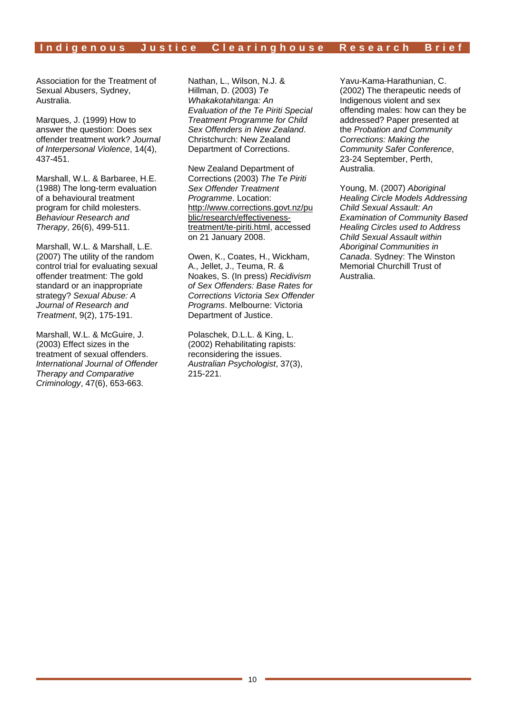#### Indigenous Justice Clearinghouse Research Brief

Association for the Treatment of Sexual Abusers, Sydney, Australia.

Marques, J. (1999) How to answer the question: Does sex offender treatment work? *Journal of Interpersonal Violence*, 14(4), 437-451.

Marshall, W.L. & Barbaree, H.E. (1988) The long-term evaluation of a behavioural treatment program for child molesters. *Behaviour Research and Therapy*, 26(6), 499-511.

Marshall, W.L. & Marshall, L.E. (2007) The utility of the random control trial for evaluating sexual offender treatment: The gold standard or an inappropriate strategy? *Sexual Abuse: A Journal of Research and Treatment*, 9(2), 175-191.

Marshall, W.L. & McGuire, J. (2003) Effect sizes in the treatment of sexual offenders. *International Journal of Offender Therapy and Comparative Criminology*, 47(6), 653-663.

Nathan, L., Wilson, N.J. & Hillman, D. (2003) *Te Whakakotahitanga: An Evaluation of the Te Piriti Special Treatment Programme for Child Sex Offenders in New Zealand*. Christchurch: New Zealand Department of Corrections.

New Zealand Department of Corrections (2003) *The Te Piriti Sex Offender Treatment Programme*. Location: http://www.corrections.govt.nz/pu blic/research/effectivenesstreatment/te-piriti.html, accessed on 21 January 2008.

Owen, K., Coates, H., Wickham, A., Jellet, J., Teuma, R. & Noakes, S. (In press) *Recidivism of Sex Offenders: Base Rates for Corrections Victoria Sex Offender Programs*. Melbourne: Victoria Department of Justice.

Polaschek, D.L.L. & King, L. (2002) Rehabilitating rapists: reconsidering the issues. *Australian Psychologist*, 37(3), 215-221.

Yavu-Kama-Harathunian, C. (2002) The therapeutic needs of Indigenous violent and sex offending males: how can they be addressed? Paper presented at the *Probation and Community Corrections: Making the Community Safer Conference*, 23-24 September, Perth, Australia.

Young, M. (2007) *Aboriginal Healing Circle Models Addressing Child Sexual Assault: An Examination of Community Based Healing Circles used to Address Child Sexual Assault within Aboriginal Communities in Canada*. Sydney: The Winston Memorial Churchill Trust of Australia.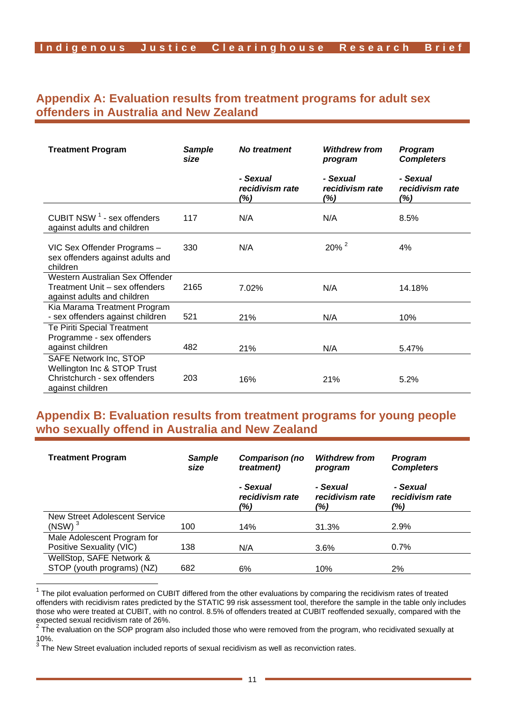## **Appendix A: Evaluation results from treatment programs for adult sex offenders in Australia and New Zealand**

| <b>Treatment Program</b>                                                                                  | <b>Sample</b><br>size | No treatment                       | <b>Withdrew from</b><br>program    | Program<br><b>Completers</b>       |
|-----------------------------------------------------------------------------------------------------------|-----------------------|------------------------------------|------------------------------------|------------------------------------|
|                                                                                                           |                       | - Sexual<br>recidivism rate<br>(%) | - Sexual<br>recidivism rate<br>(%) | - Sexual<br>recidivism rate<br>(%) |
| CUBIT NSW <sup>1</sup> - sex offenders<br>against adults and children                                     | 117                   | N/A                                | N/A                                | 8.5%                               |
| VIC Sex Offender Programs -<br>sex offenders against adults and<br>children                               | 330                   | N/A                                | $20\%$ <sup>2</sup>                | 4%                                 |
| Western Australian Sex Offender<br>Treatment Unit - sex offenders<br>against adults and children          | 2165                  | 7.02%                              | N/A                                | 14.18%                             |
| Kia Marama Treatment Program<br>- sex offenders against children                                          | 521                   | 21%                                | N/A                                | 10%                                |
| <b>Te Piriti Special Treatment</b><br>Programme - sex offenders<br>against children                       | 482                   | 21%                                | N/A                                | 5.47%                              |
| SAFE Network Inc, STOP<br>Wellington Inc & STOP Trust<br>Christchurch - sex offenders<br>against children | 203                   | 16%                                | 21%                                | 5.2%                               |

## **Appendix B: Evaluation results from treatment programs for young people who sexually offend in Australia and New Zealand**

| <b>Treatment Program</b>                               | Sample<br>size | Comparison (no<br><i>treatment</i> ) | <b>Withdrew from</b><br>program    | <b>Program</b><br><b>Completers</b> |
|--------------------------------------------------------|----------------|--------------------------------------|------------------------------------|-------------------------------------|
|                                                        |                | - Sexual<br>recidivism rate<br>(%)   | - Sexual<br>recidivism rate<br>(%) | - Sexual<br>recidivism rate<br>(%)  |
| New Street Adolescent Service<br>(NSW) <sup>3</sup>    | 100            | 14%                                  | 31.3%                              | 2.9%                                |
| Male Adolescent Program for                            |                |                                      |                                    |                                     |
| Positive Sexuality (VIC)                               | 138            | N/A                                  | $3.6\%$                            | $0.7\%$                             |
| WellStop, SAFE Network &<br>STOP (youth programs) (NZ) | 682            | 6%                                   | 10%                                | $2\%$                               |

 $1$  The pilot evaluation performed on CUBIT differed from the other evaluations by comparing the recidivism rates of treated offenders with recidivism rates predicted by the STATIC 99 risk assessment tool, therefore the sample in the table only includes those who were treated at CUBIT, with no control. 8.5% of offenders treated at CUBIT reoffended sexually, compared with the expected sexual recidivism rate of 26%.

The evaluation on the SOP program also included those who were removed from the program, who recidivated sexually at  $10\%$ .

The New Street evaluation included reports of sexual recidivism as well as reconviction rates.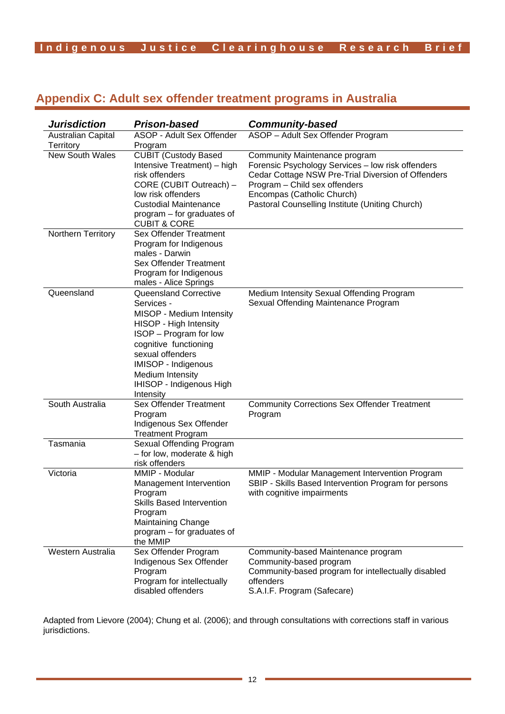# **Indigenous Justice Cleari nghouse Research Brief**

# **Appendix C: Adult sex offender treatment programs in Australia**

| <b>Jurisdiction</b>             | <b>Prison-based</b>                                                                                                                                                                                                                                  | <b>Community-based</b>                                                                                                                                                                                                                                     |
|---------------------------------|------------------------------------------------------------------------------------------------------------------------------------------------------------------------------------------------------------------------------------------------------|------------------------------------------------------------------------------------------------------------------------------------------------------------------------------------------------------------------------------------------------------------|
| Australian Capital<br>Territory | ASOP - Adult Sex Offender<br>Program                                                                                                                                                                                                                 | ASOP - Adult Sex Offender Program                                                                                                                                                                                                                          |
| <b>New South Wales</b>          | <b>CUBIT (Custody Based</b><br>Intensive Treatment) - high<br>risk offenders<br>CORE (CUBIT Outreach) -<br>low risk offenders<br><b>Custodial Maintenance</b><br>program – for graduates of<br><b>CUBIT &amp; CORE</b>                               | Community Maintenance program<br>Forensic Psychology Services - low risk offenders<br>Cedar Cottage NSW Pre-Trial Diversion of Offenders<br>Program - Child sex offenders<br>Encompas (Catholic Church)<br>Pastoral Counselling Institute (Uniting Church) |
| Northern Territory              | <b>Sex Offender Treatment</b><br>Program for Indigenous<br>males - Darwin<br><b>Sex Offender Treatment</b><br>Program for Indigenous<br>males - Alice Springs                                                                                        |                                                                                                                                                                                                                                                            |
| Queensland                      | Queensland Corrective<br>Services -<br>MISOP - Medium Intensity<br>HISOP - High Intensity<br>ISOP - Program for low<br>cognitive functioning<br>sexual offenders<br>IMISOP - Indigenous<br>Medium Intensity<br>IHISOP - Indigenous High<br>Intensity | Medium Intensity Sexual Offending Program<br>Sexual Offending Maintenance Program                                                                                                                                                                          |
| South Australia                 | <b>Sex Offender Treatment</b><br>Program<br>Indigenous Sex Offender<br><b>Treatment Program</b>                                                                                                                                                      | <b>Community Corrections Sex Offender Treatment</b><br>Program                                                                                                                                                                                             |
| Tasmania                        | Sexual Offending Program<br>- for low, moderate & high<br>risk offenders                                                                                                                                                                             |                                                                                                                                                                                                                                                            |
| Victoria                        | MMIP - Modular<br>Management Intervention<br>Program<br>Skills Based Intervention<br>Program<br><b>Maintaining Change</b><br>program - for graduates of<br>the MMIP                                                                                  | MMIP - Modular Management Intervention Program<br>SBIP - Skills Based Intervention Program for persons<br>with cognitive impairments                                                                                                                       |
| Western Australia               | Sex Offender Program<br>Indigenous Sex Offender<br>Program<br>Program for intellectually<br>disabled offenders                                                                                                                                       | Community-based Maintenance program<br>Community-based program<br>Community-based program for intellectually disabled<br>offenders<br>S.A.I.F. Program (Safecare)                                                                                          |

Adapted from Lievore (2004); Chung et al. (2006); and through consultations with corrections staff in various jurisdictions.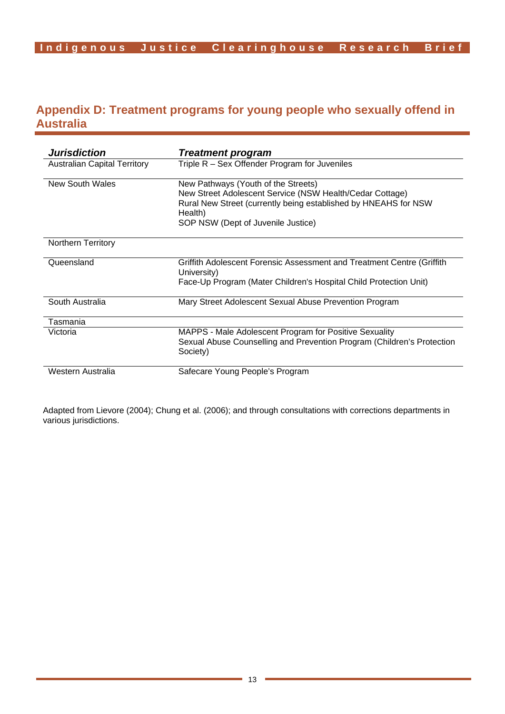## **Appendix D: Treatment programs for young people who sexually offend in Australia**

| <b>Jurisdiction</b>                 | <b>Treatment program</b>                                                                                                                                                                                            |  |
|-------------------------------------|---------------------------------------------------------------------------------------------------------------------------------------------------------------------------------------------------------------------|--|
| <b>Australian Capital Territory</b> | Triple R - Sex Offender Program for Juveniles                                                                                                                                                                       |  |
| <b>New South Wales</b>              | New Pathways (Youth of the Streets)<br>New Street Adolescent Service (NSW Health/Cedar Cottage)<br>Rural New Street (currently being established by HNEAHS for NSW<br>Health)<br>SOP NSW (Dept of Juvenile Justice) |  |
| <b>Northern Territory</b>           |                                                                                                                                                                                                                     |  |
| Queensland                          | Griffith Adolescent Forensic Assessment and Treatment Centre (Griffith<br>University)<br>Face-Up Program (Mater Children's Hospital Child Protection Unit)                                                          |  |
| South Australia                     | Mary Street Adolescent Sexual Abuse Prevention Program                                                                                                                                                              |  |
| Tasmania                            |                                                                                                                                                                                                                     |  |
| Victoria                            | MAPPS - Male Adolescent Program for Positive Sexuality<br>Sexual Abuse Counselling and Prevention Program (Children's Protection<br>Society)                                                                        |  |
| Western Australia                   | Safecare Young People's Program                                                                                                                                                                                     |  |

Adapted from Lievore (2004); Chung et al. (2006); and through consultations with corrections departments in various jurisdictions.